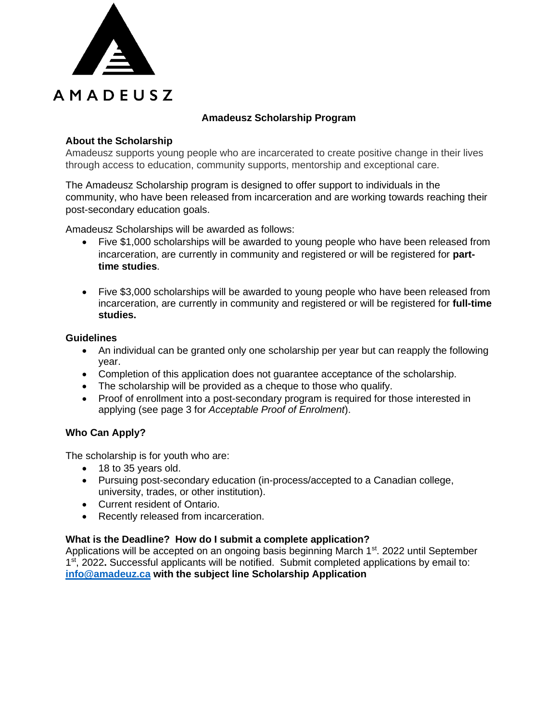

## **Amadeusz Scholarship Program**

### **About the Scholarship**

Amadeusz supports young people who are incarcerated to create positive change in their lives through access to education, community supports, mentorship and exceptional care.

The Amadeusz Scholarship program is designed to offer support to individuals in the community, who have been released from incarceration and are working towards reaching their post-secondary education goals.

Amadeusz Scholarships will be awarded as follows:

- Five \$1,000 scholarships will be awarded to young people who have been released from incarceration, are currently in community and registered or will be registered for **parttime studies**.
- Five \$3,000 scholarships will be awarded to young people who have been released from incarceration, are currently in community and registered or will be registered for **full-time studies.**

#### **Guidelines**

- An individual can be granted only one scholarship per year but can reapply the following year.
- Completion of this application does not guarantee acceptance of the scholarship.
- The scholarship will be provided as a cheque to those who qualify.
- Proof of enrollment into a post-secondary program is required for those interested in applying (see page 3 for *Acceptable Proof of Enrolment*).

## **Who Can Apply?**

The scholarship is for youth who are:

- 18 to 35 years old.
- Pursuing post-secondary education (in-process/accepted to a Canadian college, university, trades, or other institution).
- Current resident of Ontario.
- Recently released from incarceration.

#### **What is the Deadline? How do I submit a complete application?**

Applications will be accepted on an ongoing basis beginning March  $1<sup>st</sup>$ . 2022 until September 1 st, 2022**.** Successful applicants will be notified. Submit completed applications by email to: **[info@amadeuz.ca](mailto:info@amadeuz.ca) with the subject line Scholarship Application**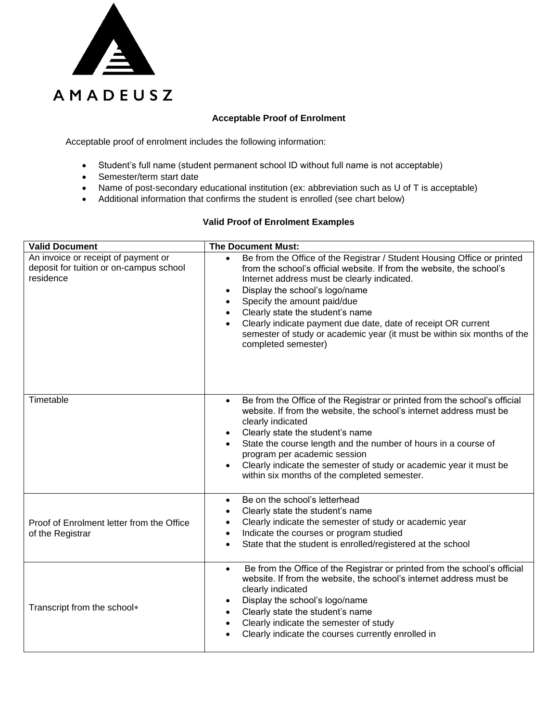

#### **Acceptable Proof of Enrolment**

Acceptable proof of enrolment includes the following information:

- Student's full name (student permanent school ID without full name is not acceptable)
- Semester/term start date
- Name of post-secondary educational institution (ex: abbreviation such as U of T is acceptable)
- Additional information that confirms the student is enrolled (see chart below)

#### **Valid Proof of Enrolment Examples**

| <b>Valid Document</b>                                                                       | <b>The Document Must:</b>                                                                                                                                                                                                                                                                                                                                                                                                                                                            |  |  |  |
|---------------------------------------------------------------------------------------------|--------------------------------------------------------------------------------------------------------------------------------------------------------------------------------------------------------------------------------------------------------------------------------------------------------------------------------------------------------------------------------------------------------------------------------------------------------------------------------------|--|--|--|
| An invoice or receipt of payment or<br>deposit for tuition or on-campus school<br>residence | Be from the Office of the Registrar / Student Housing Office or printed<br>from the school's official website. If from the website, the school's<br>Internet address must be clearly indicated.<br>Display the school's logo/name<br>$\bullet$<br>Specify the amount paid/due<br>Clearly state the student's name<br>Clearly indicate payment due date, date of receipt OR current<br>semester of study or academic year (it must be within six months of the<br>completed semester) |  |  |  |
| Timetable                                                                                   | Be from the Office of the Registrar or printed from the school's official<br>$\bullet$<br>website. If from the website, the school's internet address must be<br>clearly indicated<br>Clearly state the student's name<br>$\bullet$<br>State the course length and the number of hours in a course of<br>program per academic session<br>Clearly indicate the semester of study or academic year it must be<br>within six months of the completed semester.                          |  |  |  |
| Proof of Enrolment letter from the Office<br>of the Registrar                               | Be on the school's letterhead<br>$\bullet$<br>Clearly state the student's name<br>$\bullet$<br>Clearly indicate the semester of study or academic year<br>$\bullet$<br>Indicate the courses or program studied<br>$\bullet$<br>State that the student is enrolled/registered at the school                                                                                                                                                                                           |  |  |  |
| Transcript from the school*                                                                 | Be from the Office of the Registrar or printed from the school's official<br>$\bullet$<br>website. If from the website, the school's internet address must be<br>clearly indicated<br>Display the school's logo/name<br>Clearly state the student's name<br>Clearly indicate the semester of study<br>Clearly indicate the courses currently enrolled in                                                                                                                             |  |  |  |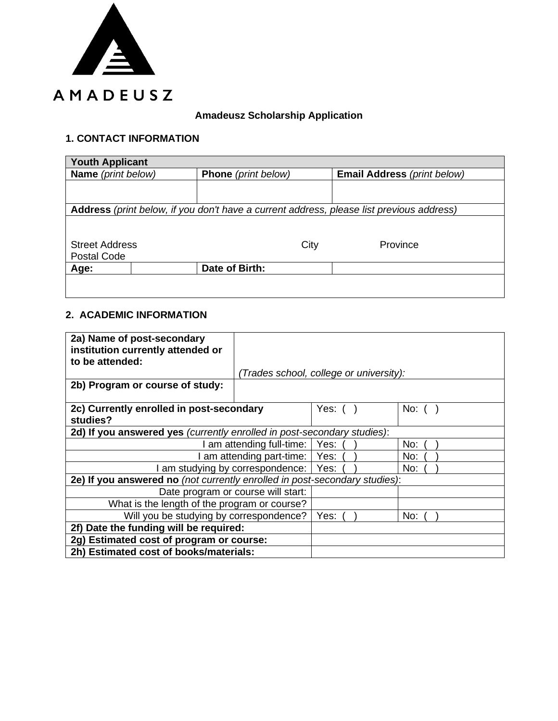

## **Amadeusz Scholarship Application**

## **1. CONTACT INFORMATION**

| <b>Youth Applicant</b>                                                                   |  |                            |                             |  |  |  |  |
|------------------------------------------------------------------------------------------|--|----------------------------|-----------------------------|--|--|--|--|
| Name (print below)                                                                       |  | <b>Phone</b> (print below) | Email Address (print below) |  |  |  |  |
|                                                                                          |  |                            |                             |  |  |  |  |
|                                                                                          |  |                            |                             |  |  |  |  |
| Address (print below, if you don't have a current address, please list previous address) |  |                            |                             |  |  |  |  |
|                                                                                          |  |                            |                             |  |  |  |  |
|                                                                                          |  |                            |                             |  |  |  |  |
| <b>Street Address</b>                                                                    |  | City                       | Province                    |  |  |  |  |
| Postal Code                                                                              |  |                            |                             |  |  |  |  |
| Age:                                                                                     |  | Date of Birth:             |                             |  |  |  |  |
|                                                                                          |  |                            |                             |  |  |  |  |
|                                                                                          |  |                            |                             |  |  |  |  |

## **2. ACADEMIC INFORMATION**

| 2a) Name of post-secondary<br>institution currently attended or<br>to be attended: |                                         |            |  |         |  |
|------------------------------------------------------------------------------------|-----------------------------------------|------------|--|---------|--|
|                                                                                    | (Trades school, college or university): |            |  |         |  |
| 2b) Program or course of study:                                                    |                                         |            |  |         |  |
|                                                                                    |                                         |            |  |         |  |
| 2c) Currently enrolled in post-secondary<br>studies?                               |                                         | Yes: $( )$ |  | No: $($ |  |
| 2d) If you answered yes (currently enrolled in post-secondary studies):            |                                         |            |  |         |  |
| am attending full-time:   Yes:                                                     |                                         |            |  | No:     |  |
| am attending part-time:   Yes:                                                     |                                         |            |  | No:     |  |
| I am studying by correspondence:   Yes:                                            |                                         |            |  | No:     |  |
| 2e) If you answered no (not currently enrolled in post-secondary studies):         |                                         |            |  |         |  |
| Date program or course will start:                                                 |                                         |            |  |         |  |
| What is the length of the program or course?                                       |                                         |            |  |         |  |
| Will you be studying by correspondence?                                            |                                         | Yes:       |  | No:     |  |
| 2f) Date the funding will be required:                                             |                                         |            |  |         |  |
| 2g) Estimated cost of program or course:                                           |                                         |            |  |         |  |
| 2h) Estimated cost of books/materials:                                             |                                         |            |  |         |  |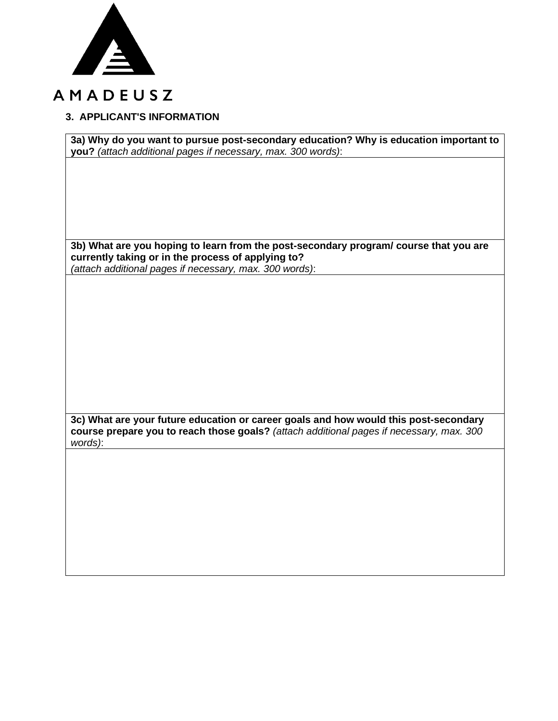

# AMADEUSZ

## **3. APPLICANT'S INFORMATION**

**3a) Why do you want to pursue post-secondary education? Why is education important to you?** *(attach additional pages if necessary, max. 300 words)*:

**3b) What are you hoping to learn from the post-secondary program/ course that you are currently taking or in the process of applying to?**

*(attach additional pages if necessary, max. 300 words)*:

**3c) What are your future education or career goals and how would this post-secondary course prepare you to reach those goals?** *(attach additional pages if necessary, max. 300 words)*: